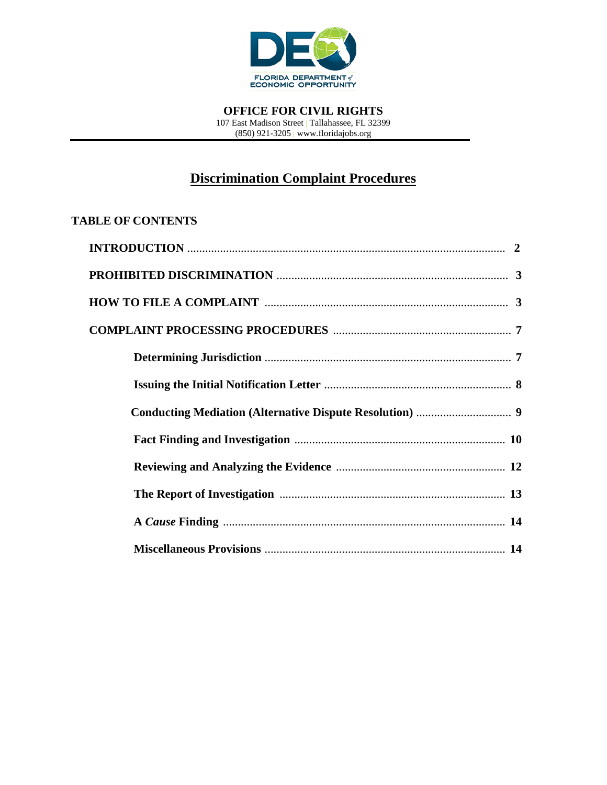

## **Discrimination Complaint Procedures**

### **TABLE OF CONTENTS**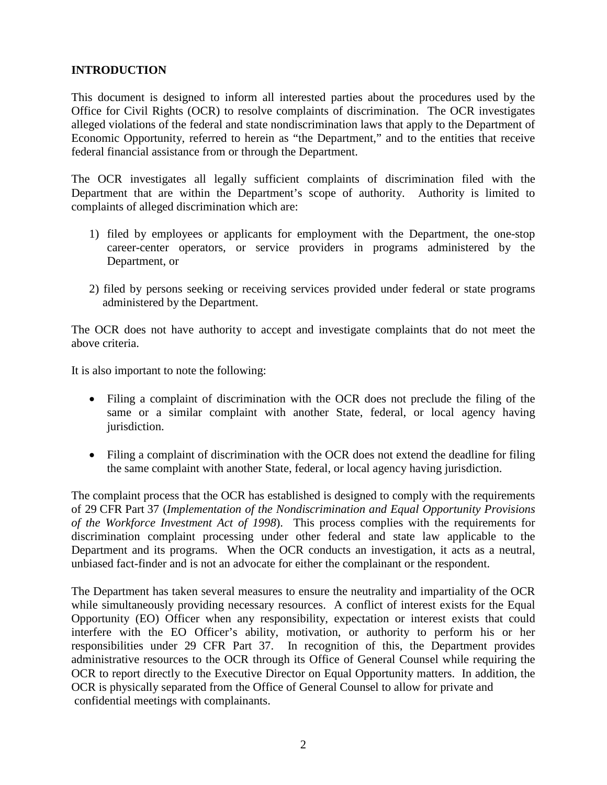#### **INTRODUCTION**

This document is designed to inform all interested parties about the procedures used by the Office for Civil Rights (OCR) to resolve complaints of discrimination. The OCR investigates alleged violations of the federal and state nondiscrimination laws that apply to the Department of Economic Opportunity, referred to herein as "the Department," and to the entities that receive federal financial assistance from or through the Department.

The OCR investigates all legally sufficient complaints of discrimination filed with the Department that are within the Department's scope of authority. Authority is limited to complaints of alleged discrimination which are:

- 1) filed by employees or applicants for employment with the Department, the one-stop career-center operators, or service providers in programs administered by the Department, or
- 2) filed by persons seeking or receiving services provided under federal or state programs administered by the Department.

The OCR does not have authority to accept and investigate complaints that do not meet the above criteria.

It is also important to note the following:

- Filing a complaint of discrimination with the OCR does not preclude the filing of the same or a similar complaint with another State, federal, or local agency having jurisdiction.
- Filing a complaint of discrimination with the OCR does not extend the deadline for filing the same complaint with another State, federal, or local agency having jurisdiction.

The complaint process that the OCR has established is designed to comply with the requirements of 29 CFR Part 37 (*Implementation of the Nondiscrimination and Equal Opportunity Provisions of the Workforce Investment Act of 1998*). This process complies with the requirements for discrimination complaint processing under other federal and state law applicable to the Department and its programs. When the OCR conducts an investigation, it acts as a neutral, unbiased fact-finder and is not an advocate for either the complainant or the respondent.

The Department has taken several measures to ensure the neutrality and impartiality of the OCR while simultaneously providing necessary resources. A conflict of interest exists for the Equal Opportunity (EO) Officer when any responsibility, expectation or interest exists that could interfere with the EO Officer's ability, motivation, or authority to perform his or her responsibilities under 29 CFR Part 37. In recognition of this, the Department provides administrative resources to the OCR through its Office of General Counsel while requiring the OCR to report directly to the Executive Director on Equal Opportunity matters. In addition, the OCR is physically separated from the Office of General Counsel to allow for private and confidential meetings with complainants.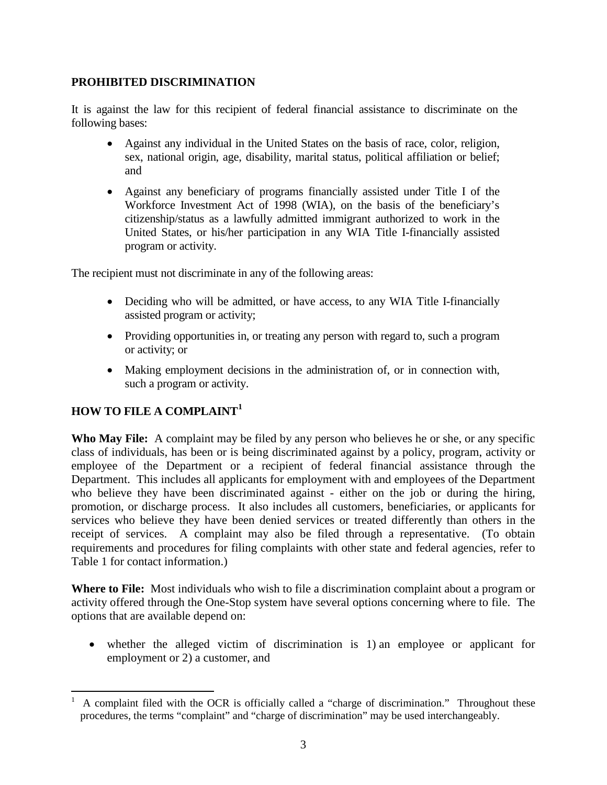#### **PROHIBITED DISCRIMINATION**

It is against the law for this recipient of federal financial assistance to discriminate on the following bases:

- Against any individual in the United States on the basis of race, color, religion, sex, national origin, age, disability, marital status, political affiliation or belief; and
- Against any beneficiary of programs financially assisted under Title I of the Workforce Investment Act of 1998 (WIA), on the basis of the beneficiary's citizenship/status as a lawfully admitted immigrant authorized to work in the United States, or his/her participation in any WIA Title I-financially assisted program or activity.

The recipient must not discriminate in any of the following areas:

- Deciding who will be admitted, or have access, to any WIA Title I-financially assisted program or activity;
- Providing opportunities in, or treating any person with regard to, such a program or activity; or
- Making employment decisions in the administration of, or in connection with, such a program or activity.

#### **HOW TO FILE A COMPLAINT[1](#page-2-0)**

**Who May File:** A complaint may be filed by any person who believes he or she, or any specific class of individuals, has been or is being discriminated against by a policy, program, activity or employee of the Department or a recipient of federal financial assistance through the Department. This includes all applicants for employment with and employees of the Department who believe they have been discriminated against - either on the job or during the hiring, promotion, or discharge process. It also includes all customers, beneficiaries, or applicants for services who believe they have been denied services or treated differently than others in the receipt of services. A complaint may also be filed through a representative. (To obtain requirements and procedures for filing complaints with other state and federal agencies, refer to Table 1 for contact information.)

**Where to File:** Most individuals who wish to file a discrimination complaint about a program or activity offered through the One-Stop system have several options concerning where to file. The options that are available depend on:

• whether the alleged victim of discrimination is 1) an employee or applicant for employment or 2) a customer, and

<span id="page-2-0"></span> $\frac{1}{1}$  A complaint filed with the OCR is officially called a "charge of discrimination." Throughout these procedures, the terms "complaint" and "charge of discrimination" may be used interchangeably.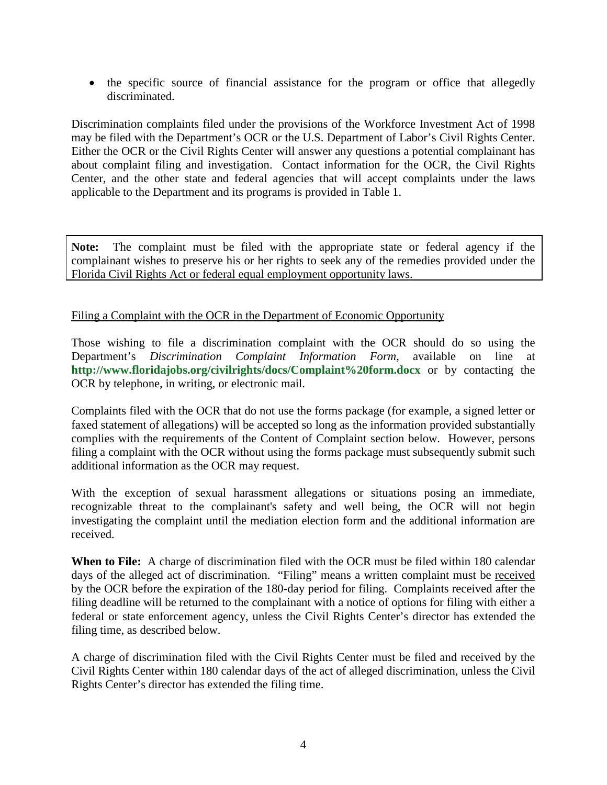• the specific source of financial assistance for the program or office that allegedly discriminated.

Discrimination complaints filed under the provisions of the Workforce Investment Act of 1998 may be filed with the Department's OCR or the U.S. Department of Labor's Civil Rights Center. Either the OCR or the Civil Rights Center will answer any questions a potential complainant has about complaint filing and investigation. Contact information for the OCR, the Civil Rights Center, and the other state and federal agencies that will accept complaints under the laws applicable to the Department and its programs is provided in Table 1.

**Note:** The complaint must be filed with the appropriate state or federal agency if the complainant wishes to preserve his or her rights to seek any of the remedies provided under the Florida Civil Rights Act or federal equal employment opportunity laws.

#### Filing a Complaint with the OCR in the Department of Economic Opportunity

Those wishing to file a discrimination complaint with the OCR should do so using the Department's *Discrimination Complaint Information Form*, available on line at **<http://www.floridajobs.org/civilrights/docs/Complaint%20form.docx>** or by contacting the OCR by telephone, in writing, or electronic mail.

Complaints filed with the OCR that do not use the forms package (for example, a signed letter or faxed statement of allegations) will be accepted so long as the information provided substantially complies with the requirements of the Content of Complaint section below. However, persons filing a complaint with the OCR without using the forms package must subsequently submit such additional information as the OCR may request.

With the exception of sexual harassment allegations or situations posing an immediate, recognizable threat to the complainant's safety and well being, the OCR will not begin investigating the complaint until the mediation election form and the additional information are received.

**When to File:** A charge of discrimination filed with the OCR must be filed within 180 calendar days of the alleged act of discrimination. "Filing" means a written complaint must be received by the OCR before the expiration of the 180-day period for filing. Complaints received after the filing deadline will be returned to the complainant with a notice of options for filing with either a federal or state enforcement agency, unless the Civil Rights Center's director has extended the filing time, as described below.

A charge of discrimination filed with the Civil Rights Center must be filed and received by the Civil Rights Center within 180 calendar days of the act of alleged discrimination, unless the Civil Rights Center's director has extended the filing time.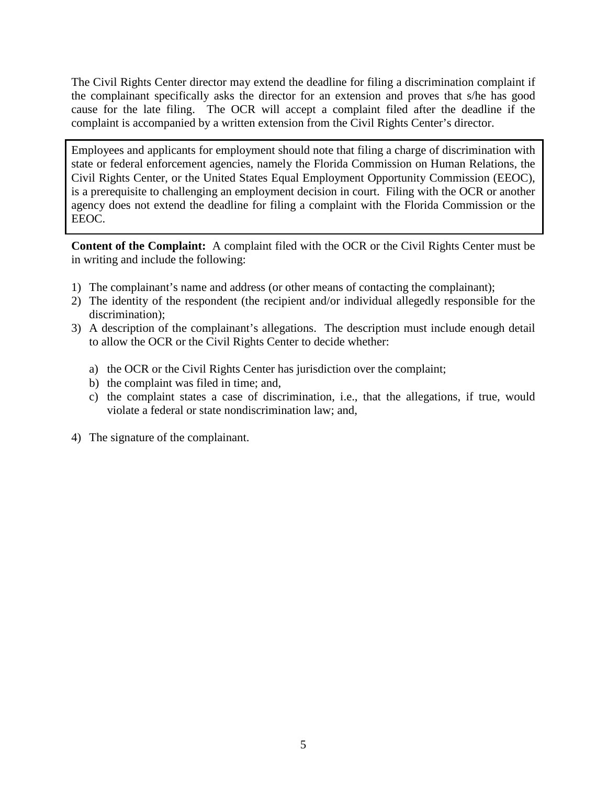The Civil Rights Center director may extend the deadline for filing a discrimination complaint if the complainant specifically asks the director for an extension and proves that s/he has good cause for the late filing. The OCR will accept a complaint filed after the deadline if the complaint is accompanied by a written extension from the Civil Rights Center's director.

Employees and applicants for employment should note that filing a charge of discrimination with state or federal enforcement agencies, namely the Florida Commission on Human Relations, the Civil Rights Center, or the United States Equal Employment Opportunity Commission (EEOC), is a prerequisite to challenging an employment decision in court. Filing with the OCR or another agency does not extend the deadline for filing a complaint with the Florida Commission or the EEOC.

**Content of the Complaint:** A complaint filed with the OCR or the Civil Rights Center must be in writing and include the following:

- 1) The complainant's name and address (or other means of contacting the complainant);
- 2) The identity of the respondent (the recipient and/or individual allegedly responsible for the discrimination);
- 3) A description of the complainant's allegations. The description must include enough detail to allow the OCR or the Civil Rights Center to decide whether:
	- a) the OCR or the Civil Rights Center has jurisdiction over the complaint;
	- b) the complaint was filed in time; and,
	- c) the complaint states a case of discrimination, i.e., that the allegations, if true, would violate a federal or state nondiscrimination law; and,
- 4) The signature of the complainant.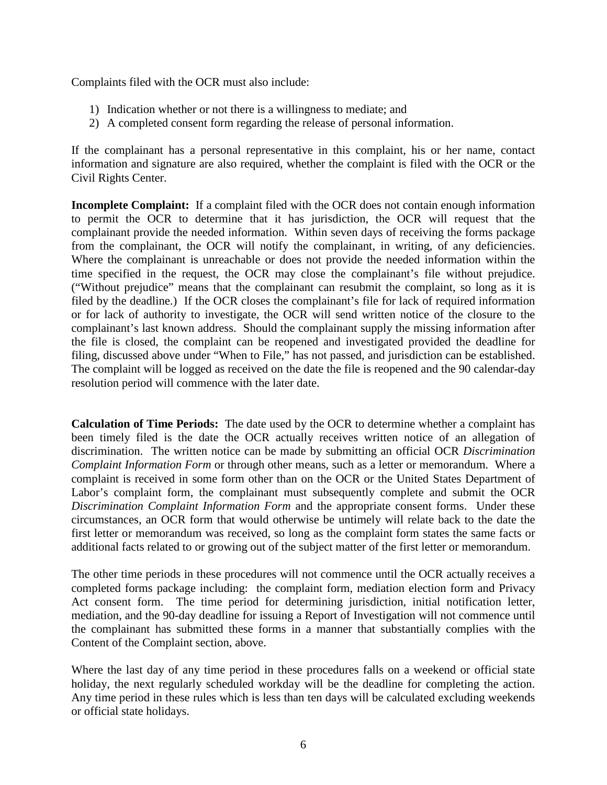Complaints filed with the OCR must also include:

- 1) Indication whether or not there is a willingness to mediate; and
- 2) A completed consent form regarding the release of personal information.

If the complainant has a personal representative in this complaint, his or her name, contact information and signature are also required, whether the complaint is filed with the OCR or the Civil Rights Center.

**Incomplete Complaint:** If a complaint filed with the OCR does not contain enough information to permit the OCR to determine that it has jurisdiction, the OCR will request that the complainant provide the needed information. Within seven days of receiving the forms package from the complainant, the OCR will notify the complainant, in writing, of any deficiencies. Where the complainant is unreachable or does not provide the needed information within the time specified in the request, the OCR may close the complainant's file without prejudice. ("Without prejudice" means that the complainant can resubmit the complaint, so long as it is filed by the deadline.) If the OCR closes the complainant's file for lack of required information or for lack of authority to investigate, the OCR will send written notice of the closure to the complainant's last known address. Should the complainant supply the missing information after the file is closed, the complaint can be reopened and investigated provided the deadline for filing, discussed above under "When to File," has not passed, and jurisdiction can be established. The complaint will be logged as received on the date the file is reopened and the 90 calendar-day resolution period will commence with the later date.

**Calculation of Time Periods:** The date used by the OCR to determine whether a complaint has been timely filed is the date the OCR actually receives written notice of an allegation of discrimination. The written notice can be made by submitting an official OCR *Discrimination Complaint Information Form* or through other means, such as a letter or memorandum. Where a complaint is received in some form other than on the OCR or the United States Department of Labor's complaint form, the complainant must subsequently complete and submit the OCR *Discrimination Complaint Information Form* and the appropriate consent forms. Under these circumstances, an OCR form that would otherwise be untimely will relate back to the date the first letter or memorandum was received, so long as the complaint form states the same facts or additional facts related to or growing out of the subject matter of the first letter or memorandum.

The other time periods in these procedures will not commence until the OCR actually receives a completed forms package including: the complaint form, mediation election form and Privacy Act consent form. The time period for determining jurisdiction, initial notification letter, mediation, and the 90-day deadline for issuing a Report of Investigation will not commence until the complainant has submitted these forms in a manner that substantially complies with the Content of the Complaint section, above.

Where the last day of any time period in these procedures falls on a weekend or official state holiday, the next regularly scheduled workday will be the deadline for completing the action. Any time period in these rules which is less than ten days will be calculated excluding weekends or official state holidays.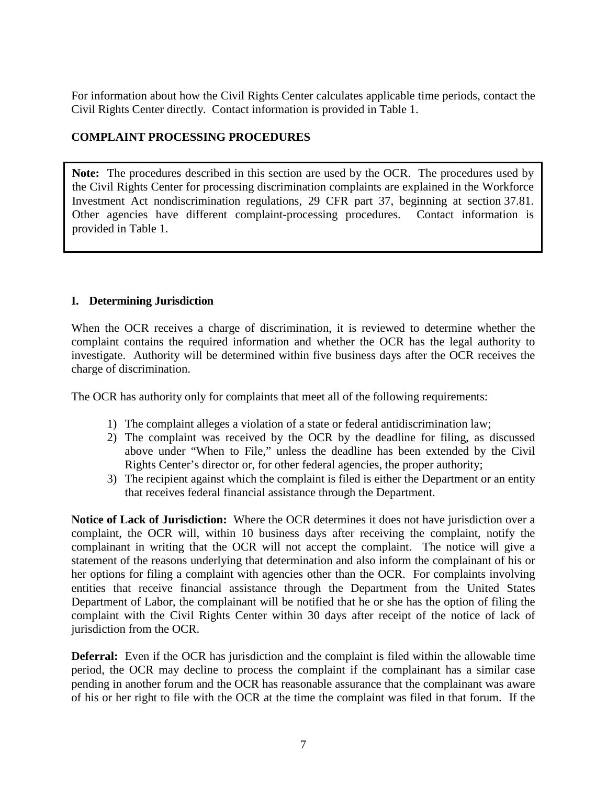For information about how the Civil Rights Center calculates applicable time periods, contact the Civil Rights Center directly. Contact information is provided in Table 1.

#### **COMPLAINT PROCESSING PROCEDURES**

**Note:** The procedures described in this section are used by the OCR. The procedures used by the Civil Rights Center for processing discrimination complaints are explained in the Workforce Investment Act nondiscrimination regulations, 29 CFR part 37, beginning at section 37.81. Other agencies have different complaint-processing procedures. Contact information is provided in Table 1.

#### **I. Determining Jurisdiction**

When the OCR receives a charge of discrimination, it is reviewed to determine whether the complaint contains the required information and whether the OCR has the legal authority to investigate. Authority will be determined within five business days after the OCR receives the charge of discrimination.

The OCR has authority only for complaints that meet all of the following requirements:

- 1) The complaint alleges a violation of a state or federal antidiscrimination law;
- 2) The complaint was received by the OCR by the deadline for filing, as discussed above under "When to File," unless the deadline has been extended by the Civil Rights Center's director or, for other federal agencies, the proper authority;
- 3) The recipient against which the complaint is filed is either the Department or an entity that receives federal financial assistance through the Department.

**Notice of Lack of Jurisdiction:** Where the OCR determines it does not have jurisdiction over a complaint, the OCR will, within 10 business days after receiving the complaint, notify the complainant in writing that the OCR will not accept the complaint. The notice will give a statement of the reasons underlying that determination and also inform the complainant of his or her options for filing a complaint with agencies other than the OCR. For complaints involving entities that receive financial assistance through the Department from the United States Department of Labor, the complainant will be notified that he or she has the option of filing the complaint with the Civil Rights Center within 30 days after receipt of the notice of lack of jurisdiction from the OCR.

**Deferral:** Even if the OCR has jurisdiction and the complaint is filed within the allowable time period, the OCR may decline to process the complaint if the complainant has a similar case pending in another forum and the OCR has reasonable assurance that the complainant was aware of his or her right to file with the OCR at the time the complaint was filed in that forum. If the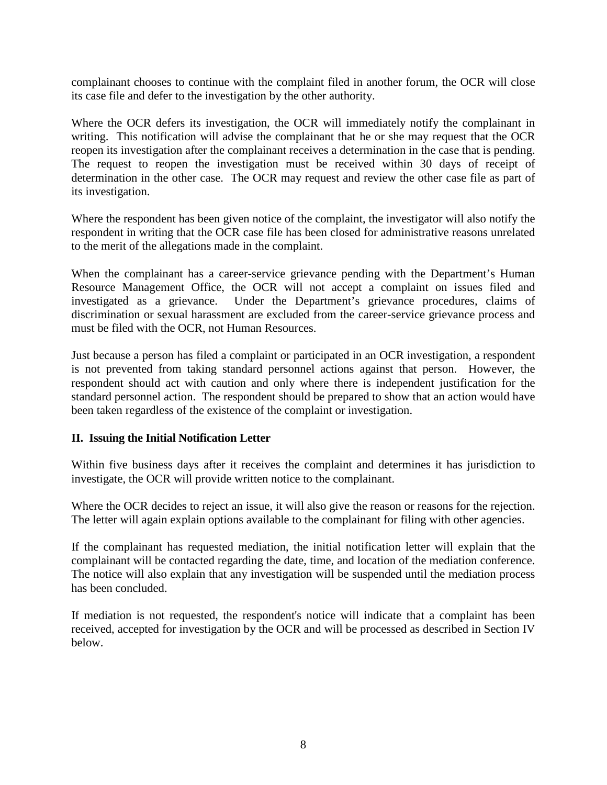complainant chooses to continue with the complaint filed in another forum, the OCR will close its case file and defer to the investigation by the other authority.

Where the OCR defers its investigation, the OCR will immediately notify the complainant in writing. This notification will advise the complainant that he or she may request that the OCR reopen its investigation after the complainant receives a determination in the case that is pending. The request to reopen the investigation must be received within 30 days of receipt of determination in the other case. The OCR may request and review the other case file as part of its investigation.

Where the respondent has been given notice of the complaint, the investigator will also notify the respondent in writing that the OCR case file has been closed for administrative reasons unrelated to the merit of the allegations made in the complaint.

When the complainant has a career-service grievance pending with the Department's Human Resource Management Office, the OCR will not accept a complaint on issues filed and investigated as a grievance. Under the Department's grievance procedures, claims of Under the Department's grievance procedures, claims of discrimination or sexual harassment are excluded from the career-service grievance process and must be filed with the OCR, not Human Resources.

Just because a person has filed a complaint or participated in an OCR investigation, a respondent is not prevented from taking standard personnel actions against that person. However, the respondent should act with caution and only where there is independent justification for the standard personnel action. The respondent should be prepared to show that an action would have been taken regardless of the existence of the complaint or investigation.

#### **II. Issuing the Initial Notification Letter**

Within five business days after it receives the complaint and determines it has jurisdiction to investigate, the OCR will provide written notice to the complainant.

Where the OCR decides to reject an issue, it will also give the reason or reasons for the rejection. The letter will again explain options available to the complainant for filing with other agencies.

If the complainant has requested mediation, the initial notification letter will explain that the complainant will be contacted regarding the date, time, and location of the mediation conference. The notice will also explain that any investigation will be suspended until the mediation process has been concluded.

If mediation is not requested, the respondent's notice will indicate that a complaint has been received, accepted for investigation by the OCR and will be processed as described in Section IV below.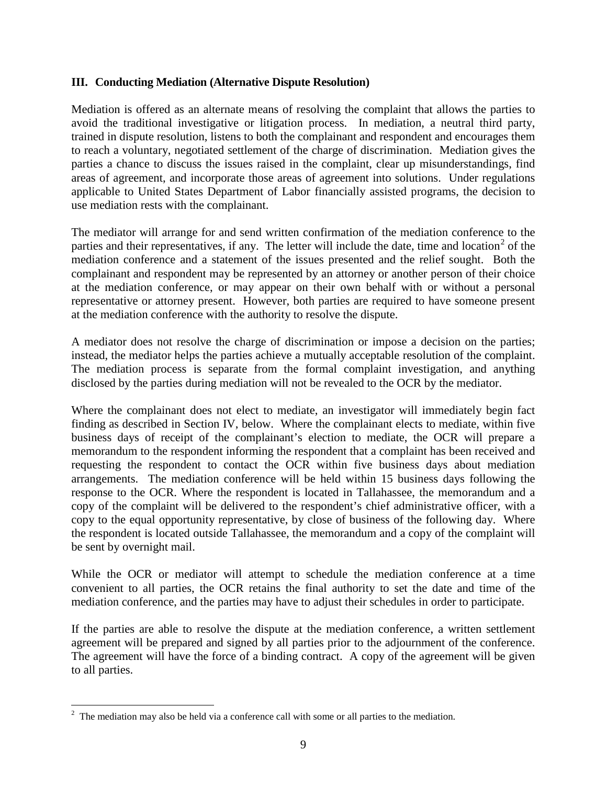#### **III. Conducting Mediation (Alternative Dispute Resolution)**

Mediation is offered as an alternate means of resolving the complaint that allows the parties to avoid the traditional investigative or litigation process. In mediation, a neutral third party, trained in dispute resolution, listens to both the complainant and respondent and encourages them to reach a voluntary, negotiated settlement of the charge of discrimination. Mediation gives the parties a chance to discuss the issues raised in the complaint, clear up misunderstandings, find areas of agreement, and incorporate those areas of agreement into solutions. Under regulations applicable to United States Department of Labor financially assisted programs, the decision to use mediation rests with the complainant.

The mediator will arrange for and send written confirmation of the mediation conference to the parties and their representatives, if any. The letter will include the date, time and location<sup>[2](#page-8-0)</sup> of the mediation conference and a statement of the issues presented and the relief sought. Both the complainant and respondent may be represented by an attorney or another person of their choice at the mediation conference, or may appear on their own behalf with or without a personal representative or attorney present. However, both parties are required to have someone present at the mediation conference with the authority to resolve the dispute.

A mediator does not resolve the charge of discrimination or impose a decision on the parties; instead, the mediator helps the parties achieve a mutually acceptable resolution of the complaint. The mediation process is separate from the formal complaint investigation, and anything disclosed by the parties during mediation will not be revealed to the OCR by the mediator.

Where the complainant does not elect to mediate, an investigator will immediately begin fact finding as described in Section IV, below. Where the complainant elects to mediate, within five business days of receipt of the complainant's election to mediate, the OCR will prepare a memorandum to the respondent informing the respondent that a complaint has been received and requesting the respondent to contact the OCR within five business days about mediation arrangements. The mediation conference will be held within 15 business days following the response to the OCR. Where the respondent is located in Tallahassee, the memorandum and a copy of the complaint will be delivered to the respondent's chief administrative officer, with a copy to the equal opportunity representative, by close of business of the following day. Where the respondent is located outside Tallahassee, the memorandum and a copy of the complaint will be sent by overnight mail.

While the OCR or mediator will attempt to schedule the mediation conference at a time convenient to all parties, the OCR retains the final authority to set the date and time of the mediation conference, and the parties may have to adjust their schedules in order to participate.

If the parties are able to resolve the dispute at the mediation conference, a written settlement agreement will be prepared and signed by all parties prior to the adjournment of the conference. The agreement will have the force of a binding contract. A copy of the agreement will be given to all parties.

<span id="page-8-0"></span> $\frac{1}{2}$  $\alpha$ <sup>2</sup> The mediation may also be held via a conference call with some or all parties to the mediation.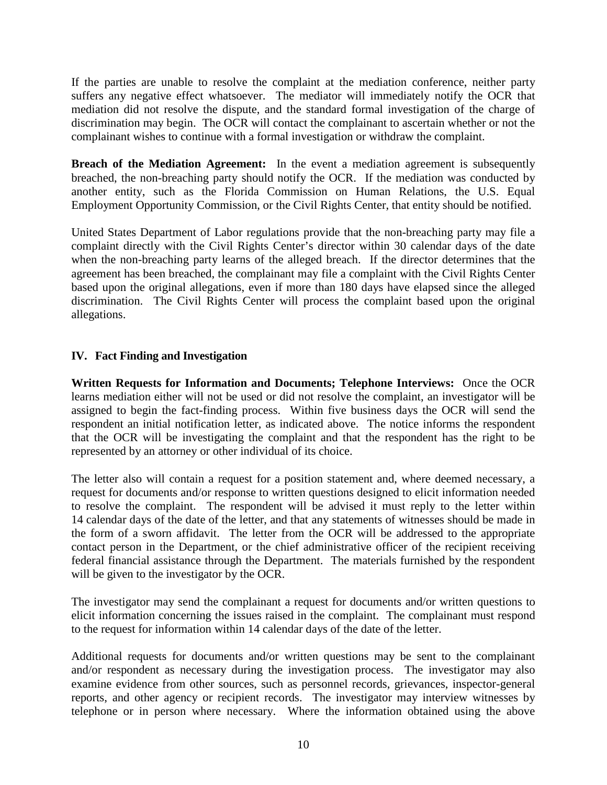If the parties are unable to resolve the complaint at the mediation conference, neither party suffers any negative effect whatsoever. The mediator will immediately notify the OCR that mediation did not resolve the dispute, and the standard formal investigation of the charge of discrimination may begin. The OCR will contact the complainant to ascertain whether or not the complainant wishes to continue with a formal investigation or withdraw the complaint.

**Breach of the Mediation Agreement:** In the event a mediation agreement is subsequently breached, the non-breaching party should notify the OCR. If the mediation was conducted by another entity, such as the Florida Commission on Human Relations, the U.S. Equal Employment Opportunity Commission, or the Civil Rights Center, that entity should be notified.

United States Department of Labor regulations provide that the non-breaching party may file a complaint directly with the Civil Rights Center's director within 30 calendar days of the date when the non-breaching party learns of the alleged breach. If the director determines that the agreement has been breached, the complainant may file a complaint with the Civil Rights Center based upon the original allegations, even if more than 180 days have elapsed since the alleged discrimination. The Civil Rights Center will process the complaint based upon the original allegations.

#### **IV. Fact Finding and Investigation**

**Written Requests for Information and Documents; Telephone Interviews:** Once the OCR learns mediation either will not be used or did not resolve the complaint, an investigator will be assigned to begin the fact-finding process. Within five business days the OCR will send the respondent an initial notification letter, as indicated above. The notice informs the respondent that the OCR will be investigating the complaint and that the respondent has the right to be represented by an attorney or other individual of its choice.

The letter also will contain a request for a position statement and, where deemed necessary, a request for documents and/or response to written questions designed to elicit information needed to resolve the complaint. The respondent will be advised it must reply to the letter within 14 calendar days of the date of the letter, and that any statements of witnesses should be made in the form of a sworn affidavit. The letter from the OCR will be addressed to the appropriate contact person in the Department, or the chief administrative officer of the recipient receiving federal financial assistance through the Department. The materials furnished by the respondent will be given to the investigator by the OCR.

The investigator may send the complainant a request for documents and/or written questions to elicit information concerning the issues raised in the complaint. The complainant must respond to the request for information within 14 calendar days of the date of the letter.

Additional requests for documents and/or written questions may be sent to the complainant and/or respondent as necessary during the investigation process. The investigator may also examine evidence from other sources, such as personnel records, grievances, inspector-general reports, and other agency or recipient records. The investigator may interview witnesses by telephone or in person where necessary. Where the information obtained using the above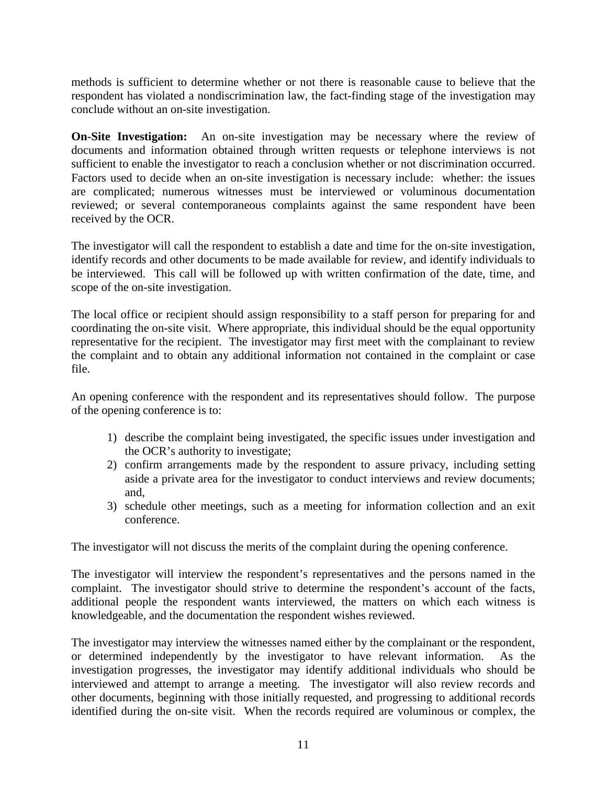methods is sufficient to determine whether or not there is reasonable cause to believe that the respondent has violated a nondiscrimination law, the fact-finding stage of the investigation may conclude without an on-site investigation.

**On-Site Investigation:** An on-site investigation may be necessary where the review of documents and information obtained through written requests or telephone interviews is not sufficient to enable the investigator to reach a conclusion whether or not discrimination occurred. Factors used to decide when an on-site investigation is necessary include: whether: the issues are complicated; numerous witnesses must be interviewed or voluminous documentation reviewed; or several contemporaneous complaints against the same respondent have been received by the OCR.

The investigator will call the respondent to establish a date and time for the on-site investigation, identify records and other documents to be made available for review, and identify individuals to be interviewed. This call will be followed up with written confirmation of the date, time, and scope of the on-site investigation.

The local office or recipient should assign responsibility to a staff person for preparing for and coordinating the on-site visit. Where appropriate, this individual should be the equal opportunity representative for the recipient. The investigator may first meet with the complainant to review the complaint and to obtain any additional information not contained in the complaint or case file.

An opening conference with the respondent and its representatives should follow. The purpose of the opening conference is to:

- 1) describe the complaint being investigated, the specific issues under investigation and the OCR's authority to investigate;
- 2) confirm arrangements made by the respondent to assure privacy, including setting aside a private area for the investigator to conduct interviews and review documents; and,
- 3) schedule other meetings, such as a meeting for information collection and an exit conference.

The investigator will not discuss the merits of the complaint during the opening conference.

The investigator will interview the respondent's representatives and the persons named in the complaint. The investigator should strive to determine the respondent's account of the facts, additional people the respondent wants interviewed, the matters on which each witness is knowledgeable, and the documentation the respondent wishes reviewed.

The investigator may interview the witnesses named either by the complainant or the respondent, or determined independently by the investigator to have relevant information. As the investigation progresses, the investigator may identify additional individuals who should be interviewed and attempt to arrange a meeting. The investigator will also review records and other documents, beginning with those initially requested, and progressing to additional records identified during the on-site visit. When the records required are voluminous or complex, the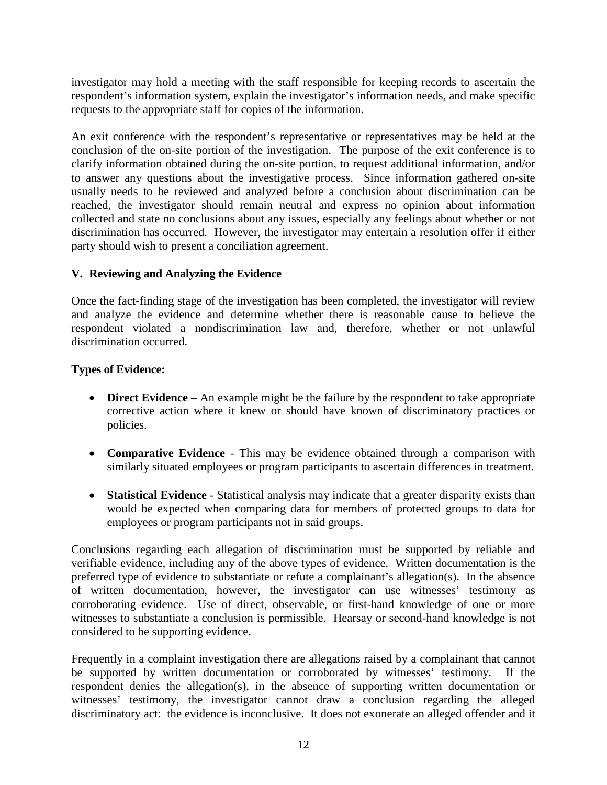investigator may hold a meeting with the staff responsible for keeping records to ascertain the respondent's information system, explain the investigator's information needs, and make specific requests to the appropriate staff for copies of the information.

An exit conference with the respondent's representative or representatives may be held at the conclusion of the on-site portion of the investigation. The purpose of the exit conference is to clarify information obtained during the on-site portion, to request additional information, and/or to answer any questions about the investigative process. Since information gathered on-site usually needs to be reviewed and analyzed before a conclusion about discrimination can be reached, the investigator should remain neutral and express no opinion about information collected and state no conclusions about any issues, especially any feelings about whether or not discrimination has occurred. However, the investigator may entertain a resolution offer if either party should wish to present a conciliation agreement.

#### **V. Reviewing and Analyzing the Evidence**

Once the fact-finding stage of the investigation has been completed, the investigator will review and analyze the evidence and determine whether there is reasonable cause to believe the respondent violated a nondiscrimination law and, therefore, whether or not unlawful discrimination occurred.

#### **Types of Evidence:**

- **Direct Evidence** An example might be the failure by the respondent to take appropriate corrective action where it knew or should have known of discriminatory practices or policies.
- **Comparative Evidence** This may be evidence obtained through a comparison with similarly situated employees or program participants to ascertain differences in treatment.
- **Statistical Evidence** Statistical analysis may indicate that a greater disparity exists than would be expected when comparing data for members of protected groups to data for employees or program participants not in said groups.

Conclusions regarding each allegation of discrimination must be supported by reliable and verifiable evidence, including any of the above types of evidence. Written documentation is the preferred type of evidence to substantiate or refute a complainant's allegation(s). In the absence of written documentation, however, the investigator can use witnesses' testimony as corroborating evidence. Use of direct, observable, or first-hand knowledge of one or more witnesses to substantiate a conclusion is permissible. Hearsay or second-hand knowledge is not considered to be supporting evidence.

Frequently in a complaint investigation there are allegations raised by a complainant that cannot be supported by written documentation or corroborated by witnesses' testimony. If the respondent denies the allegation(s), in the absence of supporting written documentation or witnesses' testimony, the investigator cannot draw a conclusion regarding the alleged discriminatory act: the evidence is inconclusive. It does not exonerate an alleged offender and it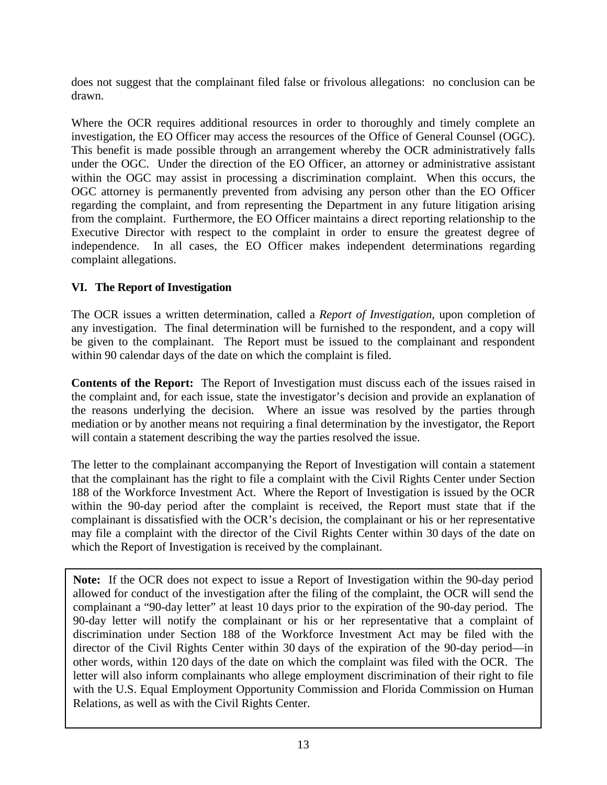does not suggest that the complainant filed false or frivolous allegations: no conclusion can be drawn.

Where the OCR requires additional resources in order to thoroughly and timely complete an investigation, the EO Officer may access the resources of the Office of General Counsel (OGC). This benefit is made possible through an arrangement whereby the OCR administratively falls under the OGC. Under the direction of the EO Officer, an attorney or administrative assistant within the OGC may assist in processing a discrimination complaint. When this occurs, the OGC attorney is permanently prevented from advising any person other than the EO Officer regarding the complaint, and from representing the Department in any future litigation arising from the complaint. Furthermore, the EO Officer maintains a direct reporting relationship to the Executive Director with respect to the complaint in order to ensure the greatest degree of independence. In all cases, the EO Officer makes independent determinations regarding complaint allegations.

#### **VI. The Report of Investigation**

The OCR issues a written determination, called a *Report of Investigation*, upon completion of any investigation. The final determination will be furnished to the respondent, and a copy will be given to the complainant. The Report must be issued to the complainant and respondent within 90 calendar days of the date on which the complaint is filed.

**Contents of the Report:** The Report of Investigation must discuss each of the issues raised in the complaint and, for each issue, state the investigator's decision and provide an explanation of the reasons underlying the decision. Where an issue was resolved by the parties through mediation or by another means not requiring a final determination by the investigator, the Report will contain a statement describing the way the parties resolved the issue.

The letter to the complainant accompanying the Report of Investigation will contain a statement that the complainant has the right to file a complaint with the Civil Rights Center under Section 188 of the Workforce Investment Act. Where the Report of Investigation is issued by the OCR within the 90-day period after the complaint is received, the Report must state that if the complainant is dissatisfied with the OCR's decision, the complainant or his or her representative may file a complaint with the director of the Civil Rights Center within 30 days of the date on which the Report of Investigation is received by the complainant.

**Note:** If the OCR does not expect to issue a Report of Investigation within the 90-day period allowed for conduct of the investigation after the filing of the complaint, the OCR will send the complainant a "90-day letter" at least 10 days prior to the expiration of the 90-day period. The 90-day letter will notify the complainant or his or her representative that a complaint of discrimination under Section 188 of the Workforce Investment Act may be filed with the director of the Civil Rights Center within 30 days of the expiration of the 90-day period—in other words, within 120 days of the date on which the complaint was filed with the OCR. The letter will also inform complainants who allege employment discrimination of their right to file with the U.S. Equal Employment Opportunity Commission and Florida Commission on Human Relations, as well as with the Civil Rights Center.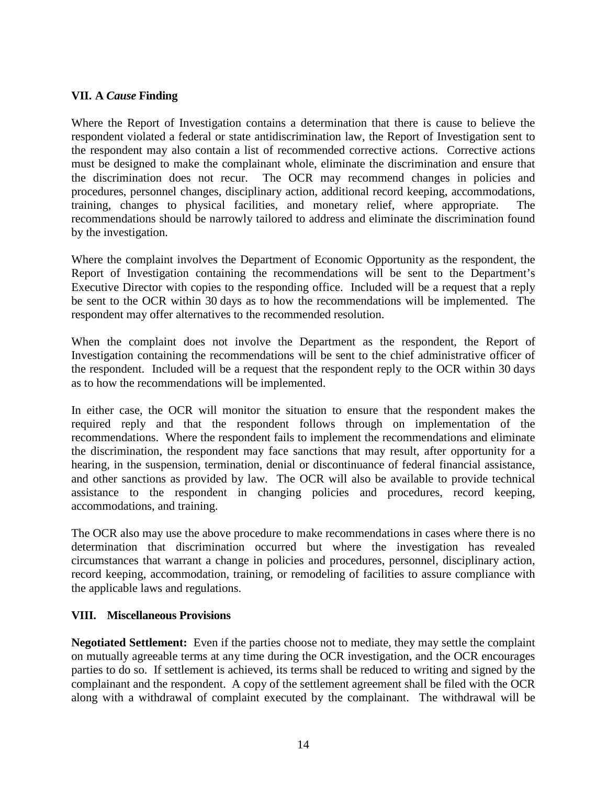#### **VII. A** *Cause* **Finding**

Where the Report of Investigation contains a determination that there is cause to believe the respondent violated a federal or state antidiscrimination law, the Report of Investigation sent to the respondent may also contain a list of recommended corrective actions. Corrective actions must be designed to make the complainant whole, eliminate the discrimination and ensure that the discrimination does not recur. The OCR may recommend changes in policies and procedures, personnel changes, disciplinary action, additional record keeping, accommodations, training, changes to physical facilities, and monetary relief, where appropriate. The recommendations should be narrowly tailored to address and eliminate the discrimination found by the investigation.

Where the complaint involves the Department of Economic Opportunity as the respondent, the Report of Investigation containing the recommendations will be sent to the Department's Executive Director with copies to the responding office. Included will be a request that a reply be sent to the OCR within 30 days as to how the recommendations will be implemented. The respondent may offer alternatives to the recommended resolution.

When the complaint does not involve the Department as the respondent, the Report of Investigation containing the recommendations will be sent to the chief administrative officer of the respondent. Included will be a request that the respondent reply to the OCR within 30 days as to how the recommendations will be implemented.

In either case, the OCR will monitor the situation to ensure that the respondent makes the required reply and that the respondent follows through on implementation of the recommendations. Where the respondent fails to implement the recommendations and eliminate the discrimination, the respondent may face sanctions that may result, after opportunity for a hearing, in the suspension, termination, denial or discontinuance of federal financial assistance, and other sanctions as provided by law. The OCR will also be available to provide technical assistance to the respondent in changing policies and procedures, record keeping, accommodations, and training.

The OCR also may use the above procedure to make recommendations in cases where there is no determination that discrimination occurred but where the investigation has revealed circumstances that warrant a change in policies and procedures, personnel, disciplinary action, record keeping, accommodation, training, or remodeling of facilities to assure compliance with the applicable laws and regulations.

#### **VIII. Miscellaneous Provisions**

**Negotiated Settlement:** Even if the parties choose not to mediate, they may settle the complaint on mutually agreeable terms at any time during the OCR investigation, and the OCR encourages parties to do so. If settlement is achieved, its terms shall be reduced to writing and signed by the complainant and the respondent. A copy of the settlement agreement shall be filed with the OCR along with a withdrawal of complaint executed by the complainant. The withdrawal will be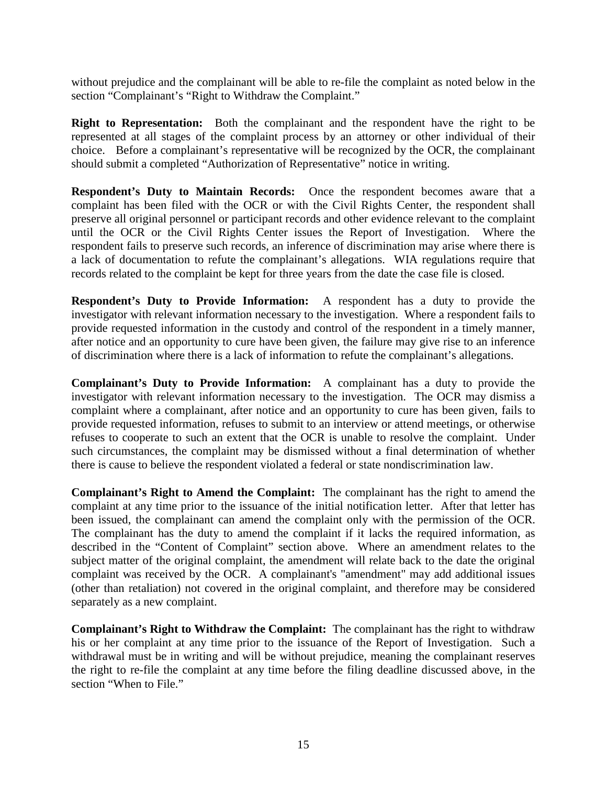without prejudice and the complainant will be able to re-file the complaint as noted below in the section "Complainant's "Right to Withdraw the Complaint."

**Right to Representation:** Both the complainant and the respondent have the right to be represented at all stages of the complaint process by an attorney or other individual of their choice. Before a complainant's representative will be recognized by the OCR, the complainant should submit a completed "Authorization of Representative" notice in writing.

**Respondent's Duty to Maintain Records:** Once the respondent becomes aware that a complaint has been filed with the OCR or with the Civil Rights Center, the respondent shall preserve all original personnel or participant records and other evidence relevant to the complaint until the OCR or the Civil Rights Center issues the Report of Investigation. Where the respondent fails to preserve such records, an inference of discrimination may arise where there is a lack of documentation to refute the complainant's allegations. WIA regulations require that records related to the complaint be kept for three years from the date the case file is closed.

**Respondent's Duty to Provide Information:** A respondent has a duty to provide the investigator with relevant information necessary to the investigation. Where a respondent fails to provide requested information in the custody and control of the respondent in a timely manner, after notice and an opportunity to cure have been given, the failure may give rise to an inference of discrimination where there is a lack of information to refute the complainant's allegations.

**Complainant's Duty to Provide Information:** A complainant has a duty to provide the investigator with relevant information necessary to the investigation. The OCR may dismiss a complaint where a complainant, after notice and an opportunity to cure has been given, fails to provide requested information, refuses to submit to an interview or attend meetings, or otherwise refuses to cooperate to such an extent that the OCR is unable to resolve the complaint. Under such circumstances, the complaint may be dismissed without a final determination of whether there is cause to believe the respondent violated a federal or state nondiscrimination law.

**Complainant's Right to Amend the Complaint:** The complainant has the right to amend the complaint at any time prior to the issuance of the initial notification letter. After that letter has been issued, the complainant can amend the complaint only with the permission of the OCR. The complainant has the duty to amend the complaint if it lacks the required information, as described in the "Content of Complaint" section above. Where an amendment relates to the subject matter of the original complaint, the amendment will relate back to the date the original complaint was received by the OCR. A complainant's "amendment" may add additional issues (other than retaliation) not covered in the original complaint, and therefore may be considered separately as a new complaint.

**Complainant's Right to Withdraw the Complaint:** The complainant has the right to withdraw his or her complaint at any time prior to the issuance of the Report of Investigation. Such a withdrawal must be in writing and will be without prejudice, meaning the complainant reserves the right to re-file the complaint at any time before the filing deadline discussed above, in the section "When to File."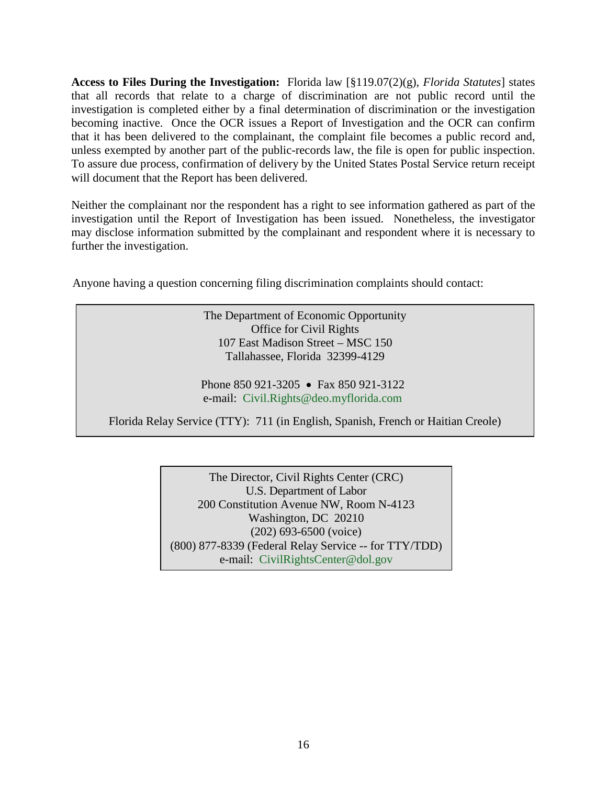**Access to Files During the Investigation:** Florida law [§119.07(2)(g), *Florida Statutes*] states that all records that relate to a charge of discrimination are not public record until the investigation is completed either by a final determination of discrimination or the investigation becoming inactive. Once the OCR issues a Report of Investigation and the OCR can confirm that it has been delivered to the complainant, the complaint file becomes a public record and, unless exempted by another part of the public-records law, the file is open for public inspection. To assure due process, confirmation of delivery by the United States Postal Service return receipt will document that the Report has been delivered.

Neither the complainant nor the respondent has a right to see information gathered as part of the investigation until the Report of Investigation has been issued. Nonetheless, the investigator may disclose information submitted by the complainant and respondent where it is necessary to further the investigation.

Anyone having a question concerning filing discrimination complaints should contact:

The Department of Economic Opportunity Office for Civil Rights 107 East Madison Street – MSC 150 Tallahassee, Florida 32399-4129

Phone 850 921-3205 • Fax 850 921-3122 e-mail: [Civil.Rights@deo.myflorida.com](mailto:Civil.Rights@deo.myflorida.com)

Florida Relay Service (TTY): 711 (in English, Spanish, French or Haitian Creole)

The Director, Civil Rights Center (CRC) U.S. Department of Labor 200 Constitution Avenue NW, Room N-4123 Washington, DC 20210 (202) 693-6500 (voice) (800) 877-8339 (Federal Relay Service -- for TTY/TDD) e-mail: [CivilRightsCenter@dol.gov](mailto:CivilRightsCenter@dol.gov)